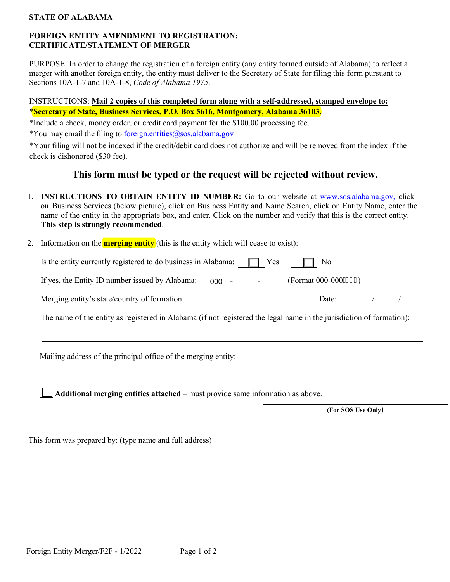### **STATE OF ALABAMA**

## **FOREIGN ENTITY AMENDMENT TO REGISTRATION: CERTIFICATE/STATEMENT OF MERGER**

PURPOSE: In order to change the registration of a foreign entity (any entity formed outside of Alabama) to reflect a merger with another foreign entity, the entity must deliver to the Secretary of State for filing this form pursuant to Sections 10A-1-7 and 10A-1-8, *Code of Alabama 1975*.

# INSTRUCTIONS: **Mail 2 copies of this completed form along with a self-addressed, stamped envelope to:** \***Secretary of State, Business Services, P.O. Box 5616, Montgomery, Alabama 36103.**

\*Include a check, money order, or credit card payment for the \$100.00 processing fee.

\*You may email the filing to foreign.entities@sos.alabama.gov

\*Your filing will not be indexed if the credit/debit card does not authorize and will be removed from the index if the check is dishonored (\$30 fee).

# **This form must be typed or the request will be rejected without review.**

1. **INSTRUCTIONS TO OBTAIN ENTITY ID NUMBER:** Go to our website at [www.sos.alabama.gov](http://www.sos.alabama.gov/), click on Business Services (below picture), click on Business Entity and Name Search, click on Entity Name, enter the name of the entity in the appropriate box, and enter. Click on the number and verify that this is the correct entity. **This step is strongly recommended**.

2. Information on the **merging entity** (this is the entity which will cease to exist):

| Is the entity currently registered to do business in Alabama: |                   | $\Box$ Yes                     | $\Box$ No            |  |  |
|---------------------------------------------------------------|-------------------|--------------------------------|----------------------|--|--|
| If yes, the Entity ID number issued by Alabama:               | 000<br>$\sim$ $-$ | <b>Contract Contract State</b> | (Format 000-000/222) |  |  |
| Merging entity's state/country of formation:                  |                   |                                | Date:                |  |  |

The name of the entity as registered in Alabama (if not registered the legal name in the jurisdiction of formation):

Mailing address of the principal office of the merging entity:

**Additional merging entities attached** – must provide same information as above.

|                                                         | (For SOS Use Only) |
|---------------------------------------------------------|--------------------|
| This form was prepared by: (type name and full address) |                    |
|                                                         |                    |
|                                                         |                    |
|                                                         |                    |
|                                                         |                    |
| Foreign Entity Merger/F2F - 1/2022<br>Page 1 of 2       |                    |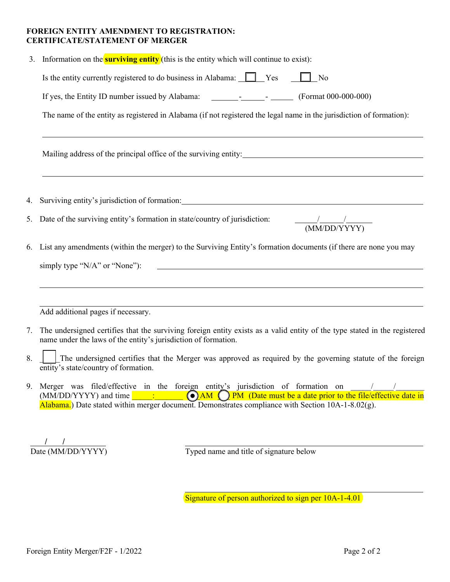### **FOREIGN ENTITY AMENDMENT TO REGISTRATION: CERTIFICATE/STATEMENT OF MERGER**

| 3. | Information on the <b>surviving entity</b> (this is the entity which will continue to exist):                                                                                                                                                                                                            |  |  |  |  |  |  |
|----|----------------------------------------------------------------------------------------------------------------------------------------------------------------------------------------------------------------------------------------------------------------------------------------------------------|--|--|--|--|--|--|
|    | Is the entity currently registered to do business in Alabama: Ves<br>$\Box$ No                                                                                                                                                                                                                           |  |  |  |  |  |  |
|    | If yes, the Entity ID number issued by Alabama: _________________________________ (Format 000-000-000)                                                                                                                                                                                                   |  |  |  |  |  |  |
|    | The name of the entity as registered in Alabama (if not registered the legal name in the jurisdiction of formation):                                                                                                                                                                                     |  |  |  |  |  |  |
|    | Mailing address of the principal office of the surviving entity: Mailing address of the principal office of the surviving entity:                                                                                                                                                                        |  |  |  |  |  |  |
|    | 4. Surviving entity's jurisdiction of formation: 1999 and 1999 and 1999 and 1999 and 1999 and 1999 and 1999 and 1999 and 1999 and 1999 and 1999 and 1999 and 1999 and 1999 and 1999 and 1999 and 1999 and 1999 and 1999 and 19                                                                           |  |  |  |  |  |  |
| 5. | Date of the surviving entity's formation in state/country of jurisdiction: $\frac{1}{(MM/DD/YYYY)}$                                                                                                                                                                                                      |  |  |  |  |  |  |
| 6. | List any amendments (within the merger) to the Surviving Entity's formation documents (if there are none you may                                                                                                                                                                                         |  |  |  |  |  |  |
|    | <u> 2008 - Jan Barnett, fransk politik (d. 1888)</u><br>simply type "N/A" or "None"):                                                                                                                                                                                                                    |  |  |  |  |  |  |
|    |                                                                                                                                                                                                                                                                                                          |  |  |  |  |  |  |
|    | Add additional pages if necessary.                                                                                                                                                                                                                                                                       |  |  |  |  |  |  |
| 7. | The undersigned certifies that the surviving foreign entity exists as a valid entity of the type stated in the registered<br>name under the laws of the entity's jurisdiction of formation.                                                                                                              |  |  |  |  |  |  |
| 8. | The undersigned certifies that the Merger was approved as required by the governing statute of the foreign<br>entity's state/country of formation.                                                                                                                                                       |  |  |  |  |  |  |
| 9. | Merger was filed/effective in the foreign entity's jurisdiction of formation on<br>(a) AM (b) PM (Date must be a date prior to the file/effective date in<br>$(MM/DD/YYYY)$ and time $\qquad$ :<br>Alabama.) Date stated within merger document. Demonstrates compliance with Section 10A-1-8.02 $(g)$ . |  |  |  |  |  |  |
|    |                                                                                                                                                                                                                                                                                                          |  |  |  |  |  |  |
|    | Date (MM/DD/YYYY)<br>Typed name and title of signature below                                                                                                                                                                                                                                             |  |  |  |  |  |  |

Signature of person authorized to sign per 10A-1-4.01